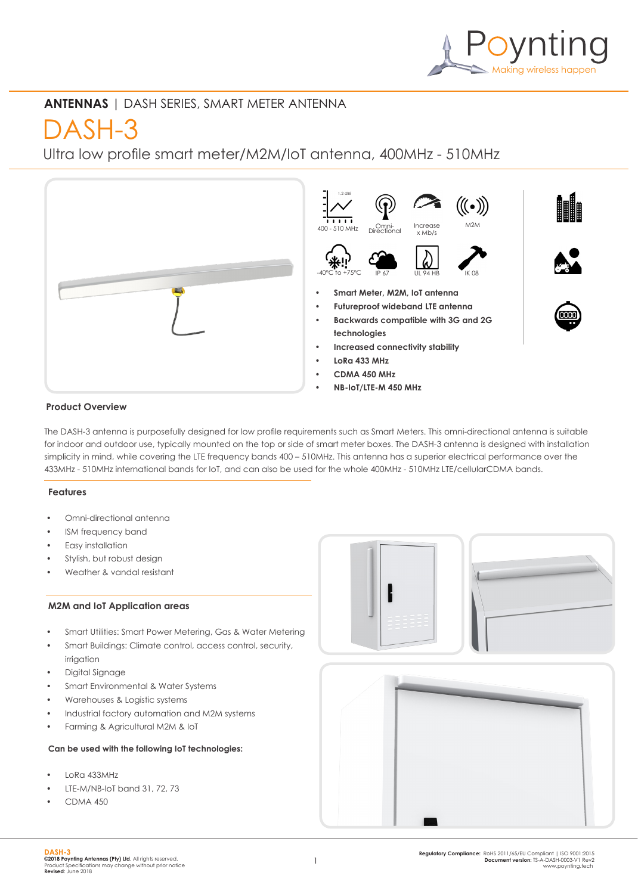

## **ANTENNAS** | DASH SERIES, SMART METER ANTENNA

# DASH-3

Ultra low profile smart meter/M2M/IoT antenna, 400MHz - 510MHz



## **Product Overview**

The DASH-3 antenna is purposefully designed for low profile requirements such as Smart Meters. This omni-directional antenna is suitable for indoor and outdoor use, typically mounted on the top or side of smart meter boxes. The DASH-3 antenna is designed with installation simplicity in mind, while covering the LTE frequency bands 400 – 510MHz. This antenna has a superior electrical performance over the 433MHz - 510MHz international bands for IoT, and can also be used for the whole 400MHz - 510MHz LTE/cellularCDMA bands.

## **Features**

- Omni-directional antenna
- ISM frequency band
- Easy installation
- Stylish, but robust design
- Weather & vandal resistant

## **M2M and IoT Application areas**

- Smart Utilities: Smart Power Metering, Gas & Water Metering
- Smart Buildings: Climate control, access control, security, irrigation
- Digital Signage
- Smart Environmental & Water Systems
- Warehouses & Logistic systems
- Industrial factory automation and M2M systems
- Farming & Agricultural M2M & IoT

### **Can be used with the following IoT technologies:**

- LoRa 433MHz
- LTE-M/NB-IoT band 31, 72, 73
- CDMA 450



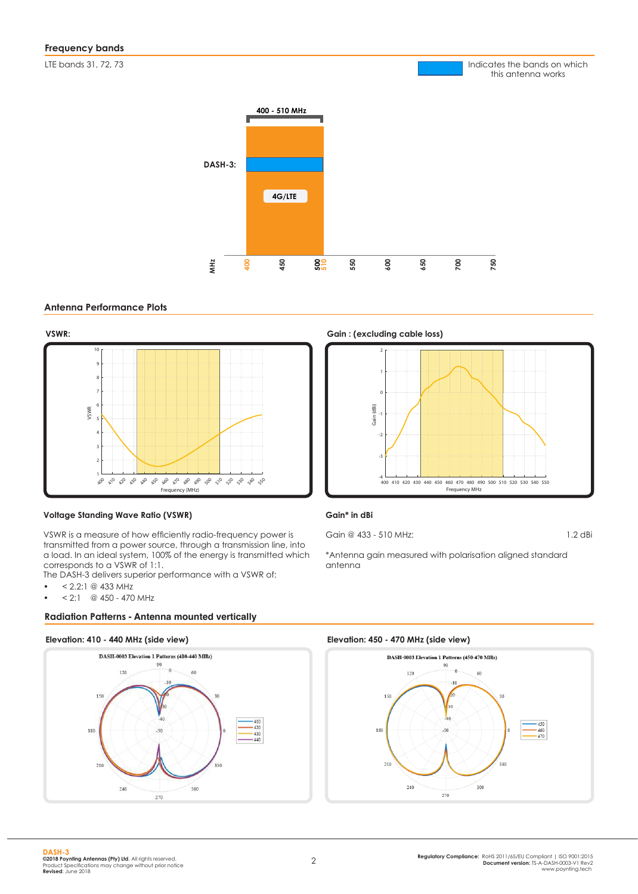LTE bands 31, 72, 73



#### **Antenna Performance Plots**





#### **Voltage Standing Wave Ratio (VSWR)**

VSWR is a measure of how efficiently radio-frequency power is transmitted from a power source, through a transmission line, into a load. In an ideal system, 100% of the energy is transmitted which corresponds to a VSWR of 1:1.

The DASH-3 delivers superior performance with a VSWR of:

- $\bullet$  < 2.2:1 @ 433 MHz
- $< 2:1$  @ 450 470 MHz

#### **Radiation Patterns - Antenna mounted vertically**

#### **Elevation: 410 - 440 MHz (side view) Elevation: 450 - 470 MHz (side view)**



**VSWR: Gain : (excluding cable loss)**



Indicates the bands on which this antenna works

#### **Gain\* in dBi**

Gain @ 433 - 510 MHz: 1.2 dBi

\*Antenna gain measured with polarisation aligned standard antenna